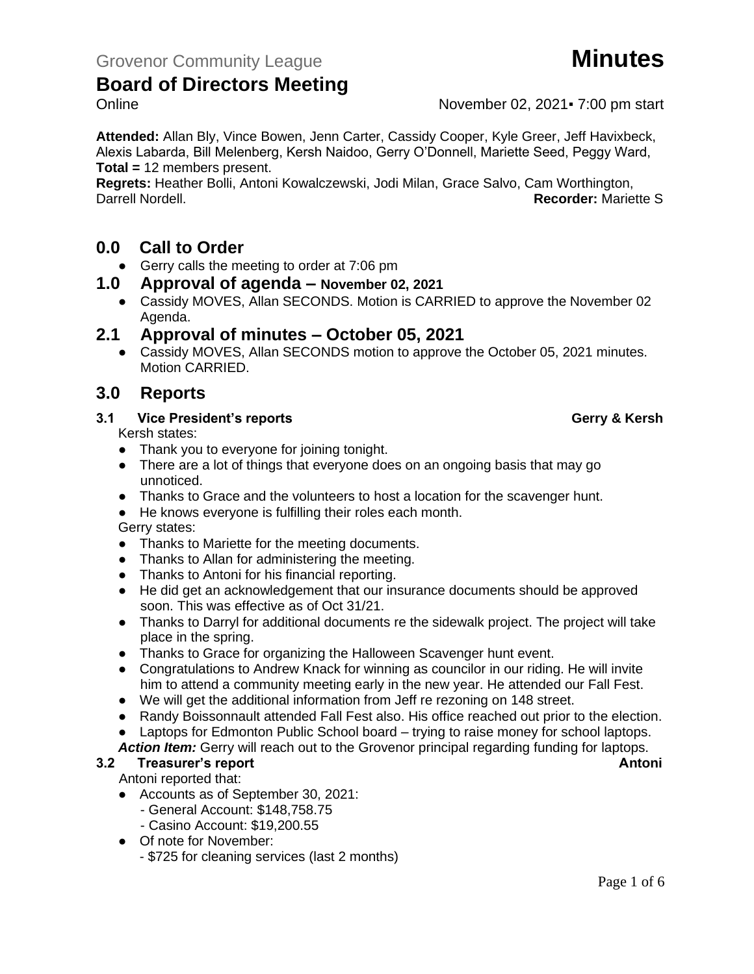Online November 02, 2021 F 7:00 pm start

**Attended:** Allan Bly, Vince Bowen, Jenn Carter, Cassidy Cooper, Kyle Greer, Jeff Havixbeck, Alexis Labarda, Bill Melenberg, Kersh Naidoo, Gerry O'Donnell, Mariette Seed, Peggy Ward, **Total =** 12 members present.

**Regrets:** Heather Bolli, Antoni Kowalczewski, Jodi Milan, Grace Salvo, Cam Worthington, Darrell Nordell. **Recorder:** Mariette S

### **0.0 Call to Order**

● Gerry calls the meeting to order at 7:06 pm

#### **1.0 Approval of agenda – November 02, 2021**

• Cassidy MOVES, Allan SECONDS. Motion is CARRIED to approve the November 02 Agenda.

### **2.1 Approval of minutes – October 05, 2021**

● Cassidy MOVES, Allan SECONDS motion to approve the October 05, 2021 minutes. Motion CARRIED.

### **3.0 Reports**

#### **3.1 Vice President's reports Gerry & Kersh**

Kersh states:

- Thank you to everyone for joining tonight.
- There are a lot of things that everyone does on an ongoing basis that may go unnoticed.
- Thanks to Grace and the volunteers to host a location for the scavenger hunt.
- He knows everyone is fulfilling their roles each month.

#### Gerry states:

- Thanks to Mariette for the meeting documents.
- Thanks to Allan for administering the meeting.
- Thanks to Antoni for his financial reporting.
- He did get an acknowledgement that our insurance documents should be approved soon. This was effective as of Oct 31/21.
- Thanks to Darryl for additional documents re the sidewalk project. The project will take place in the spring.
- Thanks to Grace for organizing the Halloween Scavenger hunt event.
- Congratulations to Andrew Knack for winning as councilor in our riding. He will invite him to attend a community meeting early in the new year. He attended our Fall Fest.
- We will get the additional information from Jeff re rezoning on 148 street.
- Randy Boissonnault attended Fall Fest also. His office reached out prior to the election.
- Laptops for Edmonton Public School board trying to raise money for school laptops.
- Action Item: Gerry will reach out to the Grovenor principal regarding funding for laptops. **3.2 Treasurer's report Antoni**

Antoni reported that:

- Accounts as of September 30, 2021:
	- General Account: \$148,758.75
	- Casino Account: \$19,200.55
- Of note for November:
	- \$725 for cleaning services (last 2 months)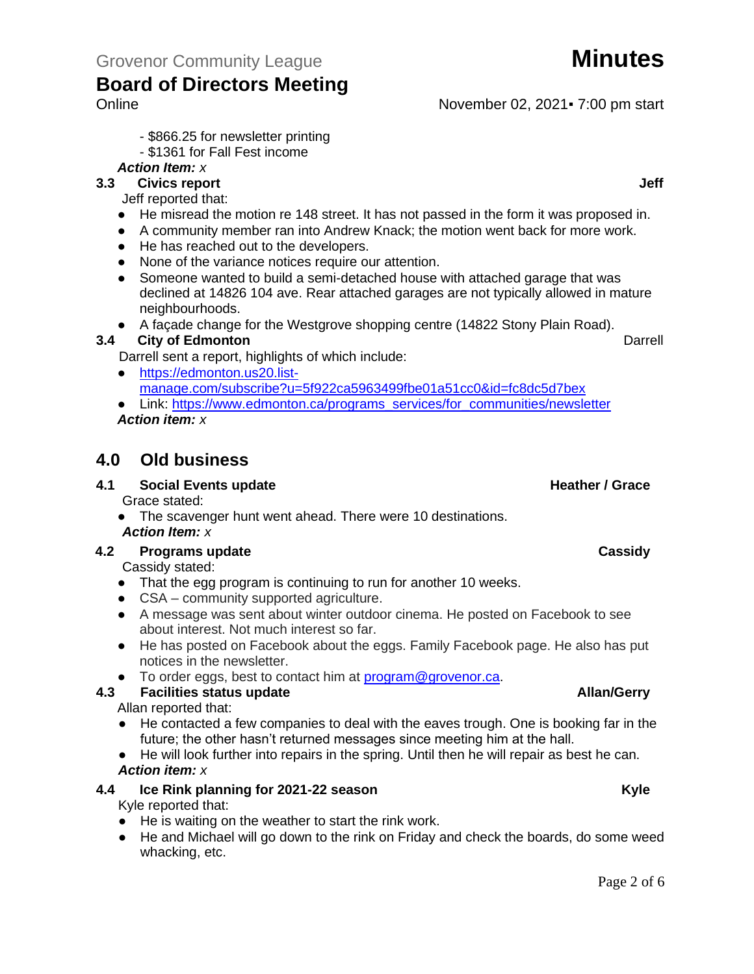Online November 02, 2021 F 7:00 pm start

- \$866.25 for newsletter printing

#### - \$1361 for Fall Fest income

**Board of Directors Meeting**

*Action Item: x*

### **3.3 Civics report Jeff**

Jeff reported that:

- He misread the motion re 148 street. It has not passed in the form it was proposed in.
- A community member ran into Andrew Knack; the motion went back for more work.
- He has reached out to the developers.
- None of the variance notices require our attention.
- Someone wanted to build a semi-detached house with attached garage that was declined at 14826 104 ave. Rear attached garages are not typically allowed in mature neighbourhoods.

● A façade change for the Westgrove shopping centre (14822 Stony Plain Road).

#### **3.4 City of Edmonton** Darrell **Darrell Darrell**

Darrell sent a report, highlights of which include:

- [https://edmonton.us20.list](https://edmonton.us20.list-manage.com/subscribe?u=5f922ca5963499fbe01a51cc0&id=fc8dc5d7bex)[manage.com/subscribe?u=5f922ca5963499fbe01a51cc0&id=fc8dc5d7bex](https://edmonton.us20.list-manage.com/subscribe?u=5f922ca5963499fbe01a51cc0&id=fc8dc5d7bex)
- Link: [https://www.edmonton.ca/programs\\_services/for\\_communities/newsletter](https://www.edmonton.ca/programs_services/for_communities/newsletter) *Action item: x*

### **4.0 Old business**

#### **4.1 Social Events update All Accords Events update All Accords Events All Accords Events All Accords Events All Accords All Accords All Accords All Accords All Accords All Accords All Accords All Accords All Accords All**

Grace stated:

• The scavenger hunt went ahead. There were 10 destinations. *Action Item: x*

#### **4.2 Programs update Cassidy**

Cassidy stated:

- That the egg program is continuing to run for another 10 weeks.
- CSA community supported agriculture.
- A message was sent about winter outdoor cinema. He posted on Facebook to see about interest. Not much interest so far.
- He has posted on Facebook about the eggs. Family Facebook page. He also has put notices in the newsletter.
- To order eggs, best to contact him at [program@grovenor.ca.](mailto:program@grovenor.ca)

#### **4.3 4.3 Facilities status update Allan/Gerry**

Allan reported that:

- He contacted a few companies to deal with the eaves trough. One is booking far in the future; the other hasn't returned messages since meeting him at the hall.
- He will look further into repairs in the spring. Until then he will repair as best he can. *Action item: x*

#### **4.4 Ice Rink planning for 2021-22 season Kyle**

Kyle reported that:

- He is waiting on the weather to start the rink work.
- He and Michael will go down to the rink on Friday and check the boards, do some weed whacking, etc.

Page 2 of 6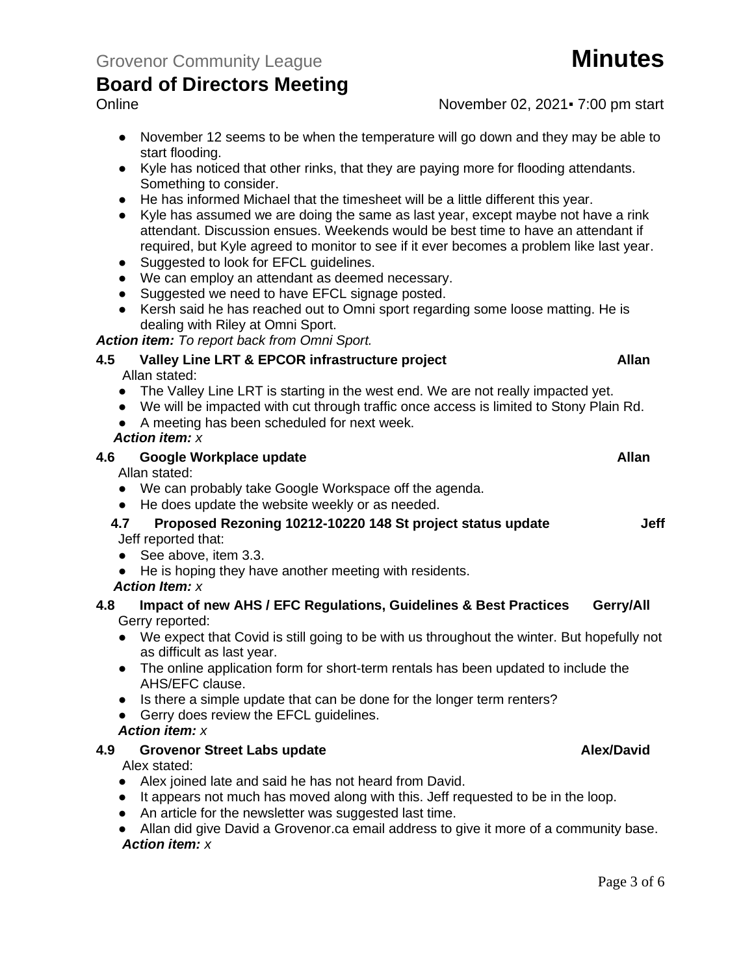Online November 02, 2021 F 7:00 pm start

- November 12 seems to be when the temperature will go down and they may be able to start flooding.
- Kyle has noticed that other rinks, that they are paying more for flooding attendants. Something to consider.
- He has informed Michael that the timesheet will be a little different this year.
- Kyle has assumed we are doing the same as last year, except maybe not have a rink attendant. Discussion ensues. Weekends would be best time to have an attendant if required, but Kyle agreed to monitor to see if it ever becomes a problem like last year.
- Suggested to look for EFCL quidelines.
- We can employ an attendant as deemed necessary.
- Suggested we need to have EFCL signage posted.
- Kersh said he has reached out to Omni sport regarding some loose matting. He is dealing with Riley at Omni Sport.

#### *Action item: To report back from Omni Sport.*

- **4.5 Valley Line LRT & EPCOR infrastructure project Allan** Allan stated:
	- The Valley Line LRT is starting in the west end. We are not really impacted yet.
	- We will be impacted with cut through traffic once access is limited to Stony Plain Rd.
	- A meeting has been scheduled for next week.

#### *Action item: x*

| 4.6 | Google Workplace update | Allan |
|-----|-------------------------|-------|
|     | Allon etatod:           |       |

Allan stated:

- We can probably take Google Workspace off the agenda.
- He does update the website weekly or as needed.
- **4.7 Proposed Rezoning 10212-10220 148 St project status update Jeff** Jeff reported that:
- See above, item 3.3.
- He is hoping they have another meeting with residents.
- *Action Item: x*

#### **4.8 Impact of new AHS / EFC Regulations, Guidelines & Best Practices Gerry/All** Gerry reported:

- We expect that Covid is still going to be with us throughout the winter. But hopefully not as difficult as last year.
- The online application form for short-term rentals has been updated to include the AHS/EFC clause.
- Is there a simple update that can be done for the longer term renters?
- Gerry does review the EFCL guidelines.

#### *Action item: x*

#### **4.9 Grovenor Street Labs update Alex/David**

Alex stated:

- Alex joined late and said he has not heard from David.
- It appears not much has moved along with this. Jeff requested to be in the loop.
- An article for the newsletter was suggested last time.
- Allan did give David a Grovenor.ca email address to give it more of a community base. *Action item: x*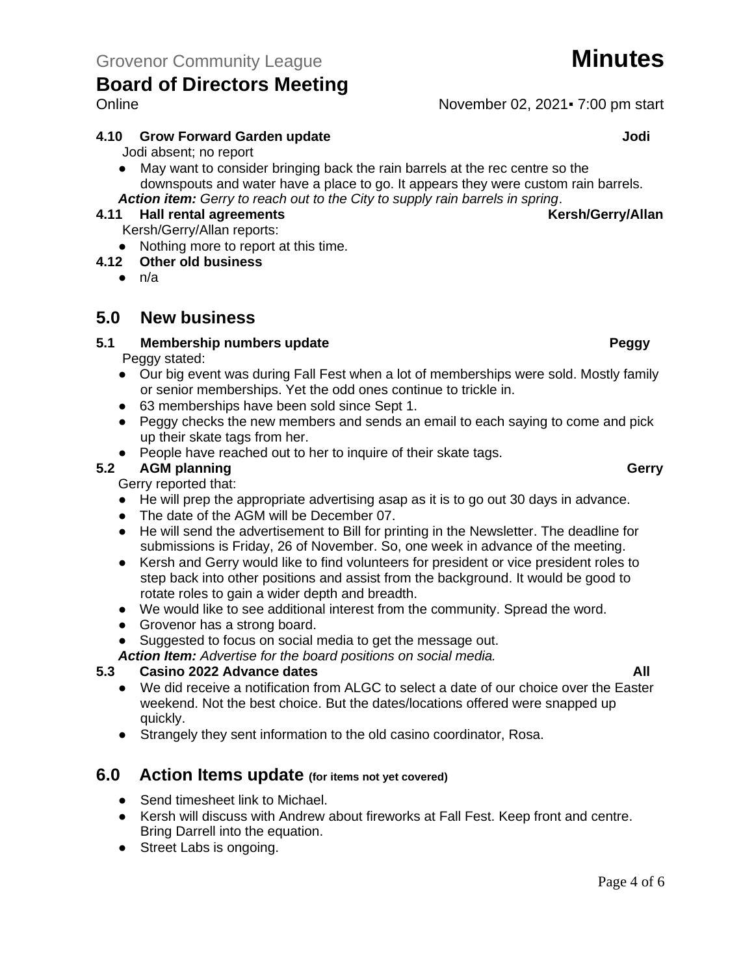#### **4.10 Grow Forward Garden update Jodi**

Jodi absent; no report

● May want to consider bringing back the rain barrels at the rec centre so the downspouts and water have a place to go. It appears they were custom rain barrels. *Action item: Gerry to reach out to the City to supply rain barrels in spring*.

#### **4.11 Hall rental agreements Kersh/Gerry/Allan**

Kersh/Gerry/Allan reports:

● Nothing more to report at this time.

#### **4.12 Other old business**

 $\bullet$  n/a

### **5.0 New business**

#### **5.1 Membership numbers update Peggy**

Peggy stated:

- Our big event was during Fall Fest when a lot of memberships were sold. Mostly family or senior memberships. Yet the odd ones continue to trickle in.
- 63 memberships have been sold since Sept 1.
- Peggy checks the new members and sends an email to each saying to come and pick up their skate tags from her.
- People have reached out to her to inquire of their skate tags.

#### **5.2 AGM planning Gerry**

Gerry reported that:

- He will prep the appropriate advertising asap as it is to go out 30 days in advance.
- The date of the AGM will be December 07.
- He will send the advertisement to Bill for printing in the Newsletter. The deadline for submissions is Friday, 26 of November. So, one week in advance of the meeting.
- Kersh and Gerry would like to find volunteers for president or vice president roles to step back into other positions and assist from the background. It would be good to rotate roles to gain a wider depth and breadth.
- We would like to see additional interest from the community. Spread the word.
- Grovenor has a strong board.
- Suggested to focus on social media to get the message out.

*Action Item: Advertise for the board positions on social media.* 

#### **5.3 Casino 2022 Advance dates All**

- We did receive a notification from ALGC to select a date of our choice over the Easter weekend. Not the best choice. But the dates/locations offered were snapped up quickly.
- Strangely they sent information to the old casino coordinator, Rosa.

### **6.0 Action Items update (for items not yet covered)**

- Send timesheet link to Michael.
- Kersh will discuss with Andrew about fireworks at Fall Fest. Keep front and centre. Bring Darrell into the equation.
- Street Labs is ongoing.

Online November 02, 2021 F 7:00 pm start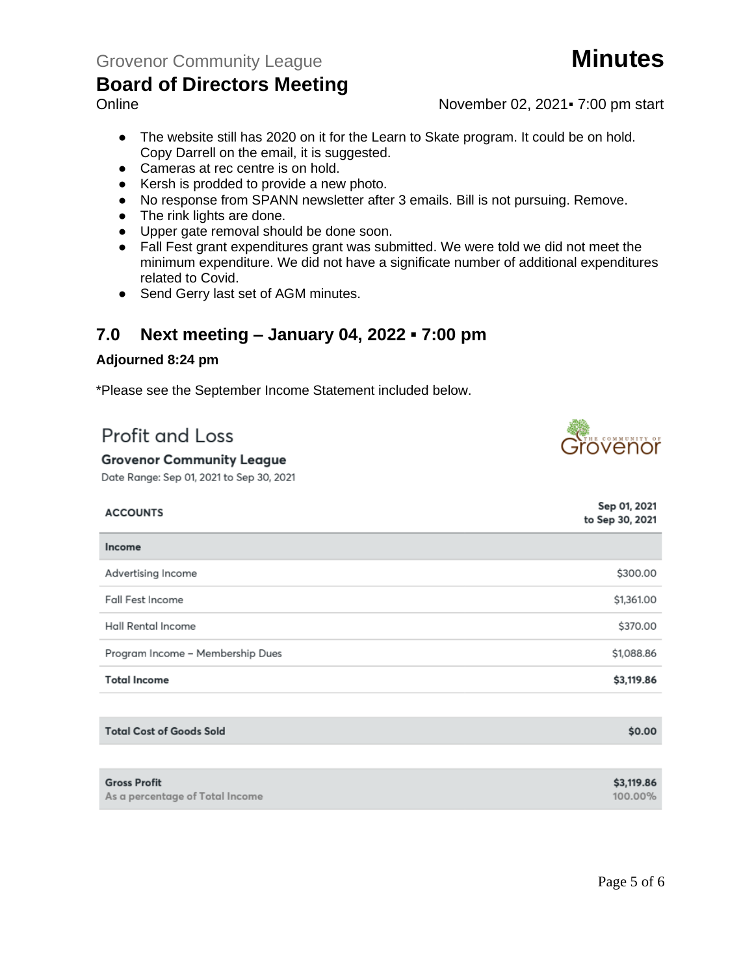Online November 02, 2021 F 7:00 pm start

- The website still has 2020 on it for the Learn to Skate program. It could be on hold. Copy Darrell on the email, it is suggested.
- Cameras at rec centre is on hold.
- Kersh is prodded to provide a new photo.
- No response from SPANN newsletter after 3 emails. Bill is not pursuing. Remove.
- The rink lights are done.
- Upper gate removal should be done soon.
- Fall Fest grant expenditures grant was submitted. We were told we did not meet the minimum expenditure. We did not have a significate number of additional expenditures related to Covid.
- Send Gerry last set of AGM minutes.

### **7.0 Next meeting – January 04, 2022 ▪ 7:00 pm**

#### **Adjourned 8:24 pm**

\*Please see the September Income Statement included below.

# Profit and Loss

#### **Grovenor Community League**

Date Range: Sep 01, 2021 to Sep 30, 2021

| <b>ACCOUNTS</b>                  | Sep 01, 2021<br>to Sep 30, 2021 |
|----------------------------------|---------------------------------|
| Income                           |                                 |
| Advertising Income               | \$300.00                        |
| Fall Fest Income                 | \$1,361.00                      |
| Hall Rental Income               | \$370.00                        |
| Program Income - Membership Dues | \$1,088.86                      |
| <b>Total Income</b>              | \$3,119.86                      |
|                                  |                                 |

|  |  |  | <b>Total Cost of Goods Sold</b> |  |  |
|--|--|--|---------------------------------|--|--|
|--|--|--|---------------------------------|--|--|

| <b>Gross Profit</b>             | \$3,119.86 |
|---------------------------------|------------|
| As a percentage of Total Income | 100.00%    |

\$0.00